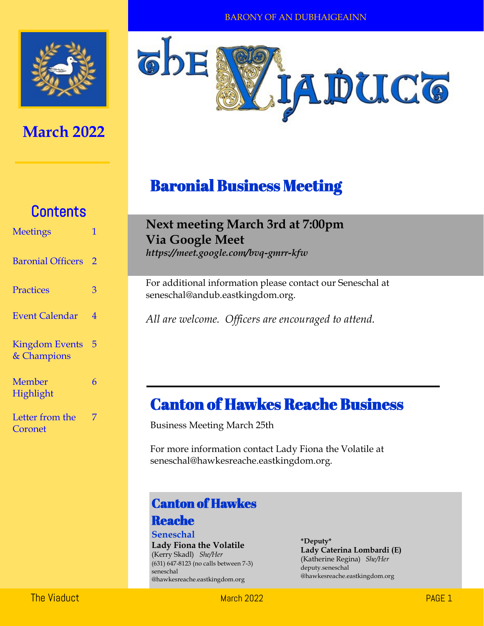

## **March 2022**



## Baronial Business Meeting

# **Contents**

| <b>Meetings</b>                      | 1 |
|--------------------------------------|---|
| <b>Baronial Officers</b>             | 2 |
| Practices                            | 3 |
| <b>Event Calendar</b>                | 4 |
| <b>Kingdom Events</b><br>& Champions | 5 |
| Member<br>Highlight                  | 6 |
| Letter from the<br>Coronet           | 7 |

## **Next meeting March 3rd at 7:00pm Via Google Meet**

*https://meet.google.com/bvq-gmrr-kfw* 

For additional information please contact our Seneschal at seneschal@andub.eastkingdom.org.

*All are welcome. Officers are encouraged to attend.* 

## Canton of Hawkes Reache Business

Business Meeting March 25th

For more information contact Lady Fiona the Volatile at seneschal@hawkesreache.eastkingdom.org.

### Canton of Hawkes

#### Reache

**Seneschal Lady Fiona the Volatile** (Kerry Skadl) *She/Her* (631) 647-8123 (no calls between 7-3) seneschal @hawkesreache.eastkingdom.org

**\*Deputy\* Lady Caterina Lombardi (E)** (Katherine Regina) *She/Her* deputy.seneschal @hawkesreache.eastkingdom.org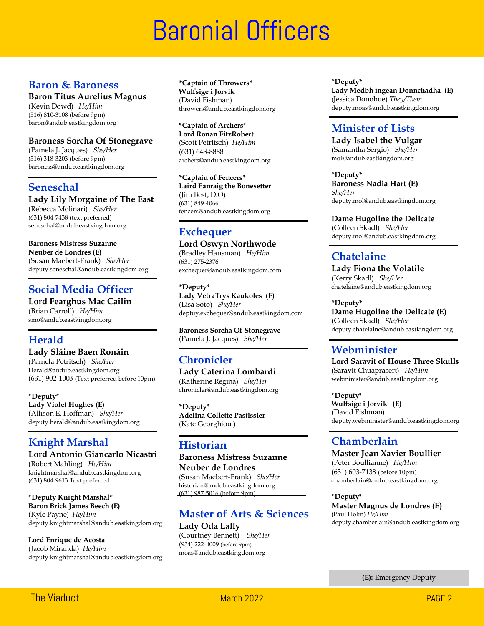# **Baronial Officers**

#### **Baron & Baroness**

#### **Baron Titus Aurelius Magnus**

(Kevin Dowd) *He/Him* (516) 810-3108 (before 9pm) baron@andub.eastkingdom.org

#### **Baroness Sorcha Of Stonegrave**

(Pamela J. Jacques) *She/Her* (516) 318-3203 (before 9pm) baroness@andub.eastkingdom.org

#### **Seneschal**

**Lady Lily Morgaine of The East** 

(Rebecca Molinari) *She/Her* (631) 804-7438 (text preferred) seneschal@andub.eastkingdom.org

#### **Baroness Mistress Suzanne**

**Neuber de Londres (E)** (Susan Maebert-Frank) *She/Her* deputy.seneschal@andub.eastkingdom.org

#### **Social Media Officer**

**Lord Fearghus Mac Cailin** (Brian Carroll) *He/Him* smo@andub.eastkingdom.org

#### **Herald**

**Lady Sláine Baen Ronáin** (Pamela Petritsch) *She/Her* Herald@andub.eastkingdom.org (631) 902-1003 (Text preferred before 10pm)

**\*Deputy\* Lady Violet Hughes (E)** (Allison E. Hoffman) *She/Her* deputy.herald@andub.eastkingdom.org

### **Knight Marshal**

**Lord Antonio Giancarlo Nicastri** (Robert Mahling) *He/Him* knightmarshal@andub.eastkingdom.org (631) 804-9613 Text preferred

**\*Deputy Knight Marshal\* Baron Brick James Beech (E)** (Kyle Payne) *He/Him* deputy.knightmarshal@andub.eastkingdom.org

**Lord Enrique de Acosta** (Jacob Miranda) *He/Him* deputy.knightmarshal@andub.eastkingdom.org **\*Captain of Throwers\* Wulfsige i Jorvik**  (David Fishman) throwers@andub.eastkingdom.org

**\*Captain of Archers\* Lord Ronan FitzRobert** (Scott Petritsch) *He/Him* (631) 648-8888 archers@andub.eastkingdom.org

**\*Captain of Fencers\* Laird Eanraig the Bonesetter** (Jim Best, D.O) (631) 849-4066 fencers@andub.eastkingdom.org

### **Exchequer**

**Lord Oswyn Northwode** (Bradley Hausman) *He/Him* (631) 275-2376 exchequer@andub.eastkingdom.com

**\*Deputy\* Lady VetraTrys Kaukoles (E)** (Lisa Soto) *She/Her* deptuy.exchequer@andub.eastkingdom.com

**Baroness Sorcha Of Stonegrave** (Pamela J. Jacques) *She/Her*

### **Chronicler**

**Lady Caterina Lombardi**  (Katherine Regina) *She/Her* chronicler@andub.eastkingdom.org

**\*Deputy\* Adelina Collette Pastissier** (Kate Georghiou )

#### **Historian**

**Baroness Mistress Suzanne Neuber de Londres** (Susan Maebert-Frank) *She/Her* historian@andub.eastkingdom.org (631) 987-5016 (before 9pm)

#### **Master of Arts & Sciences Lady Oda Lally**

(Courtney Bennett) *She/Her* (934) 222-4009 (before 9pm) moas@andub.eastkingdom.org

**\*Deputy\* Lady Medbh ingean Donnchadha (E)** (Jessica Donohue) *They/Them* deputy.moas@andub.eastkingdom.org

### **Minister of Lists**

**Lady Isabel the Vulgar** (Samantha Sergio) *She/Her* mol@andub.eastkingdom.org

**\*Deputy\* Baroness Nadia Hart (E)** *She/Her* deputy.mol@andub.eastkingdom.org

**Dame Hugoline the Delicate**

(Colleen Skadl) *She/Her* deputy.mol@andub.eastkingdom.org

### **Chatelaine**

**Lady Fiona the Volatile**  (Kerry Skadl) *She/Her* chatelaine@andub.eastkingdom.org

**\*Deputy\***

**Dame Hugoline the Delicate (E)** (Colleen Skadl) *She/Her* deputy.chatelaine@andub.eastkingdom.org

#### **Webminister**

**Lord Saravit of House Three Skulls** (Saravit Chuaprasert) *He/Him* webminister@andub.eastkingdom.org

**\*Deputy\* Wulfsige i Jorvik (E)** (David Fishman) deputy.webminister@andub.eastkingdom.org

#### **Chamberlain**

**Master Jean Xavier Boullier** (Peter Boullianne) *He/Him* (631) 603-7138 (before 10pm) chamberlain@andub.eastkingdom.org

**\*Deputy\* Master Magnus de Londres (E)** (Paul Holm) *He/Him* deputy.chamberlain@andub.eastkingdom.org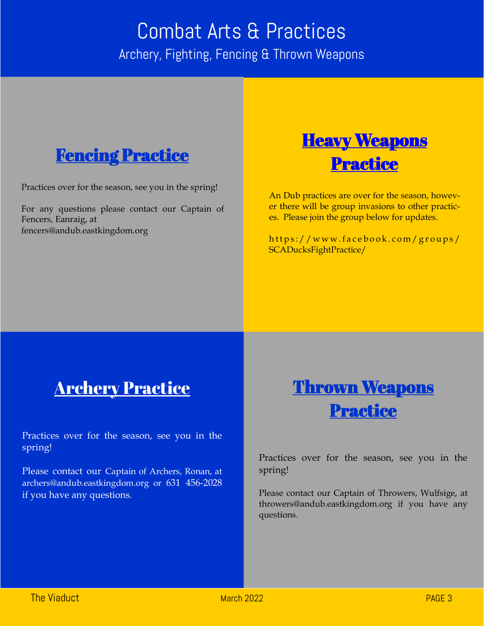# Combat Arts & Practices Archery, Fighting, Fencing & Thrown Weapons



Practices over for the season, see you in the spring!

For any questions please contact our Captain of Fencers, Eanraig, at fencers@andub.eastkingdom.org



An Dub practices are over for the season, however there will be group invasions to other practices. Please join the group below for updates.

https://www.facebook.com/groups/ SCADucksFightPractice/

# Archery Practice

Practices over for the season, see you in the spring!

Please contact our Captain of Archers, Ronan, at archers@andub.eastkingdom.org or 631 456-2028 if you have any questions.



Practices over for the season, see you in the spring!

Please contact our Captain of Throwers, Wulfsige, at throwers@andub.eastkingdom.org if you have any questions.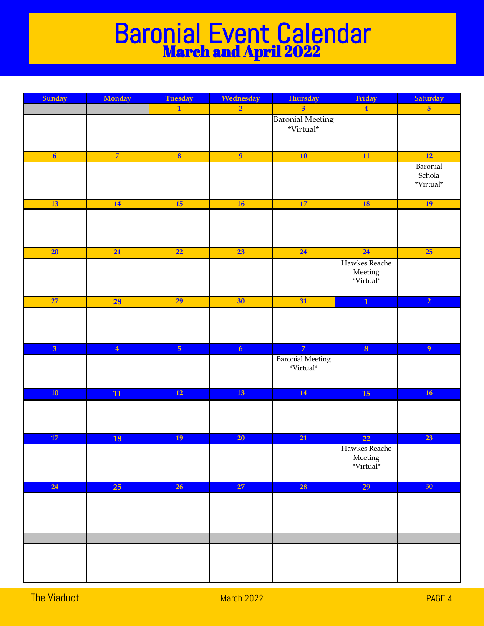# Baronial Event Calendar March and April 2022

| Sunday                  | Monday         | <b>Tuesday</b>          | Wednesday      | Thursday                                            | Friday                                        | Saturday                        |
|-------------------------|----------------|-------------------------|----------------|-----------------------------------------------------|-----------------------------------------------|---------------------------------|
|                         |                | $\overline{1}$          | $\overline{2}$ | $\overline{3}$                                      | $\overline{\mathbf{4}}$                       | 5 <sup>5</sup>                  |
|                         |                |                         |                | <b>Baronial Meeting</b><br>$^*\!\mathit{Virtual}^*$ |                                               |                                 |
| $\overline{\mathbf{6}}$ | $\overline{7}$ | $\overline{\mathbf{8}}$ | $\overline{9}$ | 10                                                  | $\overline{11}$                               | 12                              |
|                         |                |                         |                |                                                     |                                               | Baronial<br>Schola<br>*Virtual* |
| <b>13</b>               | 14             | 15                      | 16             | 17                                                  | 18                                            | 19                              |
|                         |                |                         |                |                                                     |                                               |                                 |
| 20                      | 21             | $\overline{22}$         | 23             | 24                                                  | 24                                            | 25                              |
|                         |                |                         |                |                                                     | Hawkes Reache<br>${\rm Meeting}$<br>*Virtual* |                                 |
| 27                      | 28             | 29                      | 30             | 31                                                  | $\overline{1}$                                | $\overline{2}$                  |
|                         |                |                         |                |                                                     |                                               |                                 |
| $\overline{3}$          | $\overline{4}$ | 5 <sub>5</sub>          | 6 <sup>1</sup> | $\overline{7}$                                      | $\bf{8}$                                      | $\overline{9}$                  |
|                         |                |                         |                | <b>Baronial Meeting</b><br>$^*\!\mathit{Virtual}^*$ |                                               |                                 |
| 10                      | ${\bf 11}$     | $\overline{12}$         | <b>13</b>      | <b>14</b>                                           | 15                                            | 16                              |
|                         |                |                         |                |                                                     |                                               |                                 |
| 17                      | <b>18</b>      | 19                      | 20             | 21                                                  | 22                                            | 23                              |
|                         |                |                         |                |                                                     | Hawkes Reache<br>Meeting<br>*Virtual*         |                                 |
| 24                      | 25             | 26                      | 27             | <b>28</b>                                           | 29                                            | 30 <sup>°</sup>                 |
|                         |                |                         |                |                                                     |                                               |                                 |
|                         |                |                         |                |                                                     |                                               |                                 |
|                         |                |                         |                |                                                     |                                               |                                 |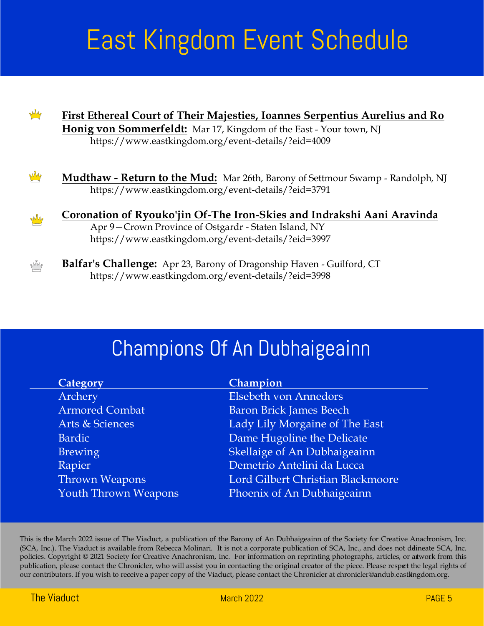# East Kingdom Event Schedule



# Champions Of An Dubhaigeainn

This is the March 2022 issue of The Viaduct, a publication of the Barony of An Dubhaigeainn of the Society for Creative Anachronism, Inc. (SCA, Inc.). The Viaduct is available from Rebecca Molinari. It is not a corporate publication of SCA, Inc., and does not ddineate SCA, Inc. policies. Copyright © 2021 Society for Creative Anachronism, Inc. For information on reprinting photographs, articles, or artwork from this publication, please contact the Chronicler, who will assist you in contacting the original creator of the piece. Please respect the legal rights of our contributors. If you wish to receive a paper copy of the Viaduct, please contact the Chronicler at chronicler@andub.eastkingdom.org.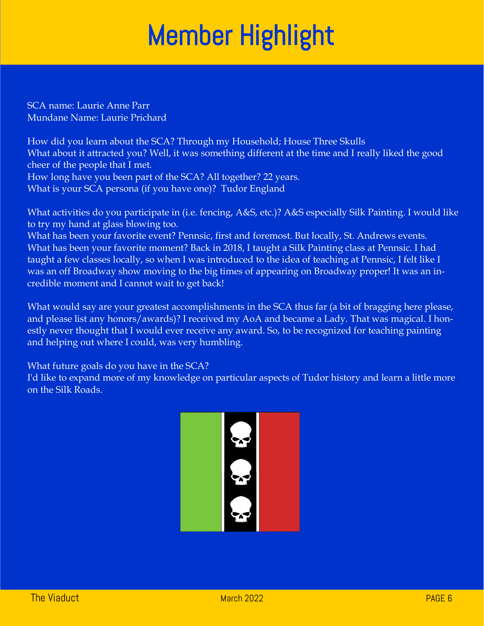# Member Highlight

SCA name: Laurie Anne Parr Mundane Name: Laurie Prichard

How did you learn about the SCA? Through my Household; House Three Skulls What about it attracted you? Well, it was something different at the time and I really liked the good cheer of the people that I met. How long have you been part of the SCA? All together? 22 years. What is your SCA persona (if you have one)? Tudor England

What activities do you participate in (i.e. fencing, A&S, etc.)? A&S especially Silk Painting. I would like to try my hand at glass blowing too.

What has been your favorite event? Pennsic, first and foremost. But locally, St. Andrews events. What has been your favorite moment? Back in 2018, I taught a Silk Painting class at Pennsic. I had taught a few classes locally, so when I was introduced to the idea of teaching at Pennsic, I felt like I was an off Broadway show moving to the big times of appearing on Broadway proper! It was an incredible moment and I cannot wait to get back!

What would say are your greatest accomplishments in the SCA thus far (a bit of bragging here please, and please list any honors/awards)? I received my AoA and became a Lady. That was magical. I honestly never thought that I would ever receive any award. So, to be recognized for teaching painting and helping out where I could, was very humbling.

What future goals do you have in the SCA?

I'd like to expand more of my knowledge on particular aspects of Tudor history and learn a little more on the Silk Roads.